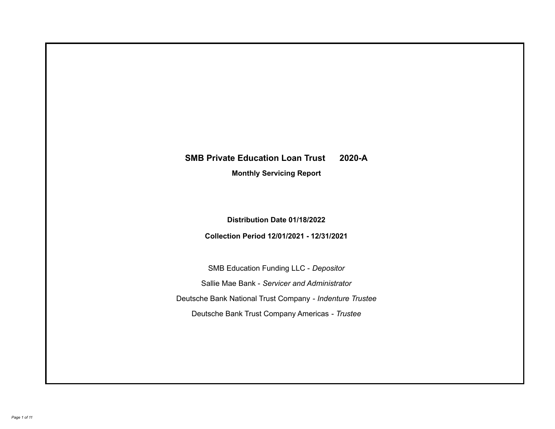# **SMB Private Education Loan Trust 2020-A**

**Monthly Servicing Report**

**Distribution Date 01/18/2022**

**Collection Period 12/01/2021 - 12/31/2021**

SMB Education Funding LLC - *Depositor* Sallie Mae Bank - *Servicer and Administrator* Deutsche Bank National Trust Company - *Indenture Trustee* Deutsche Bank Trust Company Americas - *Trustee*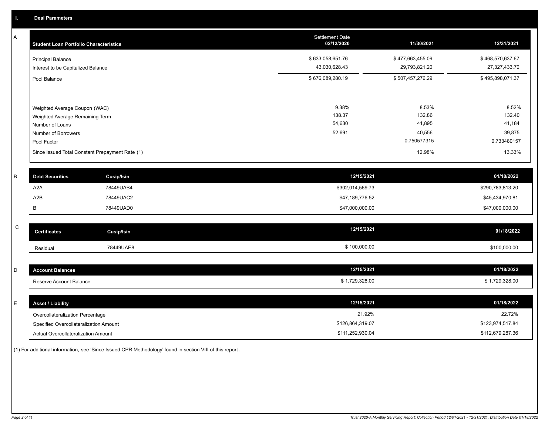A

| А | <b>Student Loan Portfolio Characteristics</b>                  |                                                 | Settlement Date<br>02/12/2020     | 11/30/2021                        | 12/31/2021                        |
|---|----------------------------------------------------------------|-------------------------------------------------|-----------------------------------|-----------------------------------|-----------------------------------|
|   | <b>Principal Balance</b><br>Interest to be Capitalized Balance |                                                 | \$633,058,651.76<br>43,030,628.43 | \$477,663,455.09<br>29,793,821.20 | \$468,570,637.67<br>27,327,433.70 |
|   | Pool Balance                                                   |                                                 | \$676,089,280.19                  | \$507,457,276.29                  | \$495,898,071.37                  |
|   |                                                                |                                                 | 9.38%                             | 8.53%                             | 8.52%                             |
|   | Weighted Average Coupon (WAC)                                  |                                                 | 138.37                            | 132.86                            | 132.40                            |
|   | Weighted Average Remaining Term                                |                                                 | 54,630                            | 41,895                            | 41,184                            |
|   | Number of Loans                                                |                                                 |                                   |                                   |                                   |
|   | Number of Borrowers                                            |                                                 | 52,691                            | 40,556                            | 39,875                            |
|   | Pool Factor                                                    |                                                 |                                   | 0.750577315                       | 0.733480157                       |
|   |                                                                | Since Issued Total Constant Prepayment Rate (1) |                                   | 12.98%                            | 13.33%                            |
|   |                                                                |                                                 |                                   |                                   |                                   |
| B | <b>Debt Securities</b>                                         | Cusip/Isin                                      | 12/15/2021                        |                                   | 01/18/2022                        |
|   | A <sub>2</sub> A                                               | 78449UAB4                                       | \$302,014,569.73                  |                                   | \$290,783,813.20                  |
|   | A2B                                                            | 78449UAC2                                       | \$47,189,776.52                   |                                   | \$45,434,970.81                   |
|   | B                                                              | 78449UAD0                                       | \$47,000,000.00                   |                                   | \$47,000,000.00                   |

| $\overline{\phantom{1}}$<br>້ | Certificates | Cusip/Isin | 12/15/2021   | 01/18/2022   |
|-------------------------------|--------------|------------|--------------|--------------|
|                               | Residual     | 78449UAE8  | \$100,000.00 | \$100,000.00 |

| ount Balances           | 12/15/2021  | 01/18/2022   |
|-------------------------|-------------|--------------|
| Reserve Account Balance | ,729,328.00 | 1,729,328.00 |

| E. | <b>Asset / Liability</b>               | 12/15/2021       | 01/18/2022       |
|----|----------------------------------------|------------------|------------------|
|    | Overcollateralization Percentage       | 21.92%           | 22.72%           |
|    | Specified Overcollateralization Amount | \$126,864,319.07 | \$123,974,517.84 |
|    | Actual Overcollateralization Amount    | \$111,252,930.04 | \$112,679,287.36 |

(1) For additional information, see 'Since Issued CPR Methodology' found in section VIII of this report .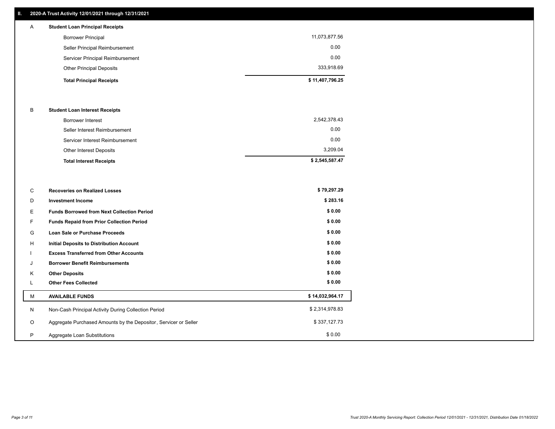### **II. 2020-A Trust Activity 12/01/2021 through 12/31/2021**

# **Total Principal Receipts \$ 11,407,796.25**  Other Principal Deposits 333,918.69 Servicer Principal Reimbursement 0.00 Seller Principal Reimbursement 0.00 Borrower Principal 11,073,877.56 A **Student Loan Principal Receipts**

#### B **Student Loan Interest Receipts**

| <b>Total Interest Receipts</b>  | \$2,545,587.47 |
|---------------------------------|----------------|
| Other Interest Deposits         | 3.209.04       |
| Servicer Interest Reimbursement | 0.00           |
| Seller Interest Reimbursement   | 0.00           |
| Borrower Interest               | 2,542,378.43   |

| C       | <b>Recoveries on Realized Losses</b>                             | \$79,297.29     |
|---------|------------------------------------------------------------------|-----------------|
| D       | <b>Investment Income</b>                                         | \$283.16        |
| Е.      | <b>Funds Borrowed from Next Collection Period</b>                | \$0.00          |
| F.      | Funds Repaid from Prior Collection Period                        | \$0.00          |
| G       | Loan Sale or Purchase Proceeds                                   | \$0.00          |
| H       | Initial Deposits to Distribution Account                         | \$0.00          |
|         | <b>Excess Transferred from Other Accounts</b>                    | \$0.00          |
| J       | <b>Borrower Benefit Reimbursements</b>                           | \$0.00          |
| K       | <b>Other Deposits</b>                                            | \$0.00          |
|         | <b>Other Fees Collected</b>                                      | \$0.00          |
| M       | <b>AVAILABLE FUNDS</b>                                           | \$14,032,964.17 |
| N       | Non-Cash Principal Activity During Collection Period             | \$2,314,978.83  |
| $\circ$ | Aggregate Purchased Amounts by the Depositor, Servicer or Seller | \$337,127.73    |
| P       | Aggregate Loan Substitutions                                     | \$0.00          |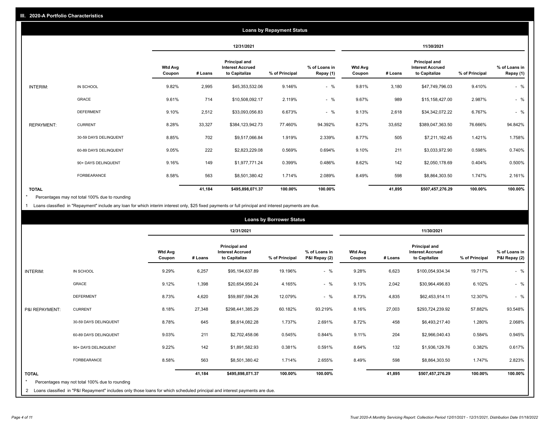|                   |                       |                          |         |                                                           | <b>Loans by Repayment Status</b> |                            |                          |         |                                                           |                |                            |
|-------------------|-----------------------|--------------------------|---------|-----------------------------------------------------------|----------------------------------|----------------------------|--------------------------|---------|-----------------------------------------------------------|----------------|----------------------------|
|                   |                       |                          |         | 12/31/2021                                                |                                  |                            |                          |         | 11/30/2021                                                |                |                            |
|                   |                       | <b>Wtd Avg</b><br>Coupon | # Loans | Principal and<br><b>Interest Accrued</b><br>to Capitalize | % of Principal                   | % of Loans in<br>Repay (1) | <b>Wtd Avg</b><br>Coupon | # Loans | Principal and<br><b>Interest Accrued</b><br>to Capitalize | % of Principal | % of Loans in<br>Repay (1) |
| INTERIM:          | IN SCHOOL             | 9.82%                    | 2,995   | \$45,353,532.06                                           | 9.146%                           | $-$ %                      | 9.81%                    | 3,180   | \$47,749,796.03                                           | 9.410%         | $-$ %                      |
|                   | GRACE                 | 9.61%                    | 714     | \$10,508,092.17                                           | 2.119%                           | $-$ %                      | 9.67%                    | 989     | \$15,158,427.00                                           | 2.987%         | $-$ %                      |
|                   | <b>DEFERMENT</b>      | 9.10%                    | 2,512   | \$33,093,056.83                                           | 6.673%                           | $-$ %                      | 9.13%                    | 2,618   | \$34,342,072.22                                           | 6.767%         | $-$ %                      |
| <b>REPAYMENT:</b> | <b>CURRENT</b>        | 8.28%                    | 33,327  | \$384,123,942.73                                          | 77.460%                          | 94.392%                    | 8.27%                    | 33,652  | \$389,047,363.50                                          | 76.666%        | 94.842%                    |
|                   | 30-59 DAYS DELINQUENT | 8.85%                    | 702     | \$9,517,066.84                                            | 1.919%                           | 2.339%                     | 8.77%                    | 505     | \$7,211,162.45                                            | 1.421%         | 1.758%                     |
|                   | 60-89 DAYS DELINQUENT | 9.05%                    | 222     | \$2,823,229.08                                            | 0.569%                           | 0.694%                     | 9.10%                    | 211     | \$3,033,972.90                                            | 0.598%         | 0.740%                     |
|                   | 90+ DAYS DELINQUENT   | 9.16%                    | 149     | \$1,977,771.24                                            | 0.399%                           | 0.486%                     | 8.62%                    | 142     | \$2,050,178.69                                            | 0.404%         | 0.500%                     |
|                   | FORBEARANCE           | 8.58%                    | 563     | \$8,501,380.42                                            | 1.714%                           | 2.089%                     | 8.49%                    | 598     | \$8,864,303.50                                            | 1.747%         | 2.161%                     |
| <b>TOTAL</b>      |                       |                          | 41,184  | \$495,898,071.37                                          | 100.00%                          | 100.00%                    |                          | 41,895  | \$507,457,276.29                                          | 100.00%        | 100.00%                    |

Percentages may not total 100% due to rounding \*

1 Loans classified in "Repayment" include any loan for which interim interest only, \$25 fixed payments or full principal and interest payments are due.

|                 |                                                                                                                                                                                |                          |         |                                                                  | <b>Loans by Borrower Status</b> |                                |                          |         |                                                                  |                |                                |
|-----------------|--------------------------------------------------------------------------------------------------------------------------------------------------------------------------------|--------------------------|---------|------------------------------------------------------------------|---------------------------------|--------------------------------|--------------------------|---------|------------------------------------------------------------------|----------------|--------------------------------|
|                 |                                                                                                                                                                                |                          |         | 12/31/2021                                                       |                                 |                                |                          |         | 11/30/2021                                                       |                |                                |
|                 |                                                                                                                                                                                | <b>Wtd Avg</b><br>Coupon | # Loans | <b>Principal and</b><br><b>Interest Accrued</b><br>to Capitalize | % of Principal                  | % of Loans in<br>P&I Repay (2) | <b>Wtd Avg</b><br>Coupon | # Loans | <b>Principal and</b><br><b>Interest Accrued</b><br>to Capitalize | % of Principal | % of Loans in<br>P&I Repay (2) |
| <b>INTERIM:</b> | IN SCHOOL                                                                                                                                                                      | 9.29%                    | 6,257   | \$95,194,637.89                                                  | 19.196%                         | $-$ %                          | 9.28%                    | 6,623   | \$100,054,934.34                                                 | 19.717%        | $-$ %                          |
|                 | <b>GRACE</b>                                                                                                                                                                   | 9.12%                    | 1,398   | \$20,654,950.24                                                  | 4.165%                          | $-$ %                          | 9.13%                    | 2,042   | \$30,964,496.83                                                  | 6.102%         | $-$ %                          |
|                 | <b>DEFERMENT</b>                                                                                                                                                               | 8.73%                    | 4,620   | \$59,897,594.26                                                  | 12.079%                         | $-$ %                          | 8.73%                    | 4,835   | \$62,453,914.11                                                  | 12.307%        | $-$ %                          |
| P&I REPAYMENT:  | <b>CURRENT</b>                                                                                                                                                                 | 8.18%                    | 27,348  | \$298,441,385.29                                                 | 60.182%                         | 93.219%                        | 8.16%                    | 27,003  | \$293,724,239.92                                                 | 57.882%        | 93.548%                        |
|                 | 30-59 DAYS DELINQUENT                                                                                                                                                          | 8.78%                    | 645     | \$8,614,082.28                                                   | 1.737%                          | 2.691%                         | 8.72%                    | 458     | \$6,493,217.40                                                   | 1.280%         | 2.068%                         |
|                 | 60-89 DAYS DELINQUENT                                                                                                                                                          | 9.03%                    | 211     | \$2,702,458.06                                                   | 0.545%                          | 0.844%                         | 9.11%                    | 204     | \$2,966,040.43                                                   | 0.584%         | 0.945%                         |
|                 | 90+ DAYS DELINQUENT                                                                                                                                                            | 9.22%                    | 142     | \$1,891,582.93                                                   | 0.381%                          | 0.591%                         | 8.64%                    | 132     | \$1,936,129.76                                                   | 0.382%         | 0.617%                         |
|                 | <b>FORBEARANCE</b>                                                                                                                                                             | 8.58%                    | 563     | \$8,501,380.42                                                   | 1.714%                          | 2.655%                         | 8.49%                    | 598     | \$8,864,303.50                                                   | 1.747%         | 2.823%                         |
| <b>TOTAL</b>    | Percentages may not total 100% due to rounding<br>2 Loans classified in "P&I Repayment" includes only those loans for which scheduled principal and interest payments are due. |                          | 41,184  | \$495,898,071.37                                                 | 100.00%                         | 100.00%                        |                          | 41,895  | \$507,457,276.29                                                 | 100.00%        | 100.00%                        |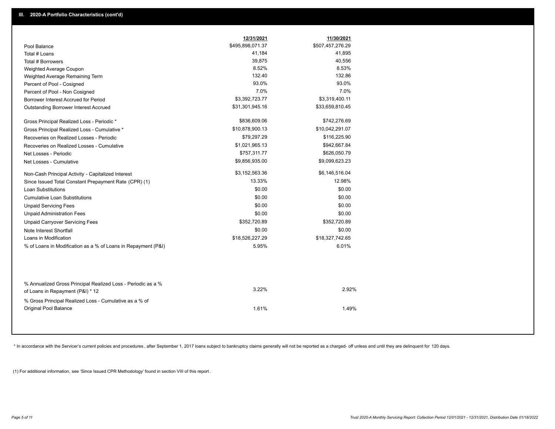|                                                                                 | 12/31/2021       | 11/30/2021       |
|---------------------------------------------------------------------------------|------------------|------------------|
| Pool Balance                                                                    | \$495,898,071.37 | \$507,457,276.29 |
| Total # Loans                                                                   | 41,184           | 41,895           |
| Total # Borrowers                                                               | 39,875           | 40,556           |
| Weighted Average Coupon                                                         | 8.52%            | 8.53%            |
| Weighted Average Remaining Term                                                 | 132.40           | 132.86           |
| Percent of Pool - Cosigned                                                      | 93.0%            | 93.0%            |
| Percent of Pool - Non Cosigned                                                  | 7.0%             | 7.0%             |
| Borrower Interest Accrued for Period                                            | \$3,392,723.77   | \$3,319,400.11   |
| Outstanding Borrower Interest Accrued                                           | \$31,301,945.16  | \$33,659,810.45  |
| Gross Principal Realized Loss - Periodic *                                      | \$836,609.06     | \$742,276.69     |
| Gross Principal Realized Loss - Cumulative *                                    | \$10,878,900.13  | \$10,042,291.07  |
| Recoveries on Realized Losses - Periodic                                        | \$79,297.29      | \$116,225.90     |
| Recoveries on Realized Losses - Cumulative                                      | \$1,021,965.13   | \$942,667.84     |
| Net Losses - Periodic                                                           | \$757,311.77     | \$626,050.79     |
| Net Losses - Cumulative                                                         | \$9,856,935.00   | \$9,099,623.23   |
| Non-Cash Principal Activity - Capitalized Interest                              | \$3,152,563.36   | \$6,146,516.04   |
| Since Issued Total Constant Prepayment Rate (CPR) (1)                           | 13.33%           | 12.98%           |
| <b>Loan Substitutions</b>                                                       | \$0.00           | \$0.00           |
| <b>Cumulative Loan Substitutions</b>                                            | \$0.00           | \$0.00           |
| <b>Unpaid Servicing Fees</b>                                                    | \$0.00           | \$0.00           |
| <b>Unpaid Administration Fees</b>                                               | \$0.00           | \$0.00           |
| <b>Unpaid Carryover Servicing Fees</b>                                          | \$352,720.89     | \$352,720.89     |
| Note Interest Shortfall                                                         | \$0.00           | \$0.00           |
| Loans in Modification                                                           | \$18,526,227.29  | \$18,327,742.65  |
| % of Loans in Modification as a % of Loans in Repayment (P&I)                   | 5.95%            | 6.01%            |
| % Annualized Gross Principal Realized Loss - Periodic as a %                    | 3.22%            | 2.92%            |
| of Loans in Repayment (P&I) * 12                                                |                  |                  |
| % Gross Principal Realized Loss - Cumulative as a % of<br>Original Pool Balance | 1.61%            | 1.49%            |

\* In accordance with the Servicer's current policies and procedures, after September 1, 2017 loans subject to bankruptcy claims generally will not be reported as a charged- off unless and until they are delinquent for 120

(1) For additional information, see 'Since Issued CPR Methodology' found in section VIII of this report .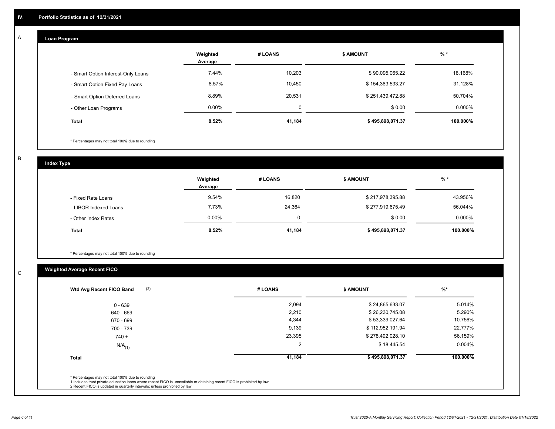# **Loan Program**

A

|                                    | Weighted<br>Average | # LOANS  | <b>\$ AMOUNT</b> | $%$ *    |
|------------------------------------|---------------------|----------|------------------|----------|
| - Smart Option Interest-Only Loans | 7.44%               | 10,203   | \$90,095,065.22  | 18.168%  |
| - Smart Option Fixed Pay Loans     | 8.57%               | 10,450   | \$154,363,533.27 | 31.128%  |
| - Smart Option Deferred Loans      | 8.89%               | 20,531   | \$251,439,472.88 | 50.704%  |
| - Other Loan Programs              | $0.00\%$            | $\Omega$ | \$0.00           | 0.000%   |
| <b>Total</b>                       | 8.52%               | 41,184   | \$495,898,071.37 | 100.000% |

\* Percentages may not total 100% due to rounding

B

C

**Index Type**

|                       | Weighted<br>Average | # LOANS | <b>\$ AMOUNT</b> | $%$ *     |
|-----------------------|---------------------|---------|------------------|-----------|
| - Fixed Rate Loans    | 9.54%               | 16,820  | \$217,978,395.88 | 43.956%   |
| - LIBOR Indexed Loans | 7.73%               | 24,364  | \$277,919,675.49 | 56.044%   |
| - Other Index Rates   | $0.00\%$            |         | \$0.00           | $0.000\%$ |
| <b>Total</b>          | 8.52%               | 41,184  | \$495,898,071.37 | 100.000%  |

\* Percentages may not total 100% due to rounding

# **Weighted Average Recent FICO**

| (2)<br>Wtd Avg Recent FICO Band | # LOANS | <b>\$ AMOUNT</b> | $%$ *     |
|---------------------------------|---------|------------------|-----------|
| $0 - 639$                       | 2,094   | \$24,865,633.07  | 5.014%    |
| 640 - 669                       | 2,210   | \$26,230,745.08  | 5.290%    |
| 670 - 699                       | 4,344   | \$53,339,027.64  | 10.756%   |
| 700 - 739                       | 9,139   | \$112,952,191.94 | 22.777%   |
| $740 +$                         | 23,395  | \$278,492,028.10 | 56.159%   |
| $N/A$ <sub>(1)</sub>            | 2       | \$18,445.54      | $0.004\%$ |
| <b>Total</b>                    | 41,184  | \$495,898,071.37 | 100.000%  |
|                                 |         |                  |           |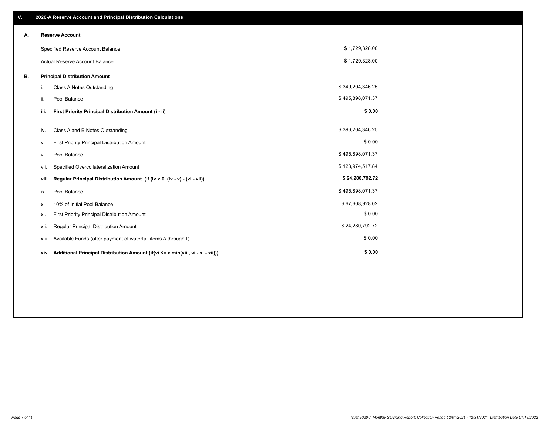| ٧. |       | 2020-A Reserve Account and Principal Distribution Calculations                       |                  |  |
|----|-------|--------------------------------------------------------------------------------------|------------------|--|
| А. |       | <b>Reserve Account</b>                                                               |                  |  |
|    |       | Specified Reserve Account Balance                                                    | \$1,729,328.00   |  |
|    |       | <b>Actual Reserve Account Balance</b>                                                | \$1,729,328.00   |  |
| В. |       | <b>Principal Distribution Amount</b>                                                 |                  |  |
|    | i.    | Class A Notes Outstanding                                                            | \$349,204,346.25 |  |
|    | ii.   | Pool Balance                                                                         | \$495,898,071.37 |  |
|    | iii.  | First Priority Principal Distribution Amount (i - ii)                                | \$0.00           |  |
|    | iv.   | Class A and B Notes Outstanding                                                      | \$396,204,346.25 |  |
|    | ۷.    | First Priority Principal Distribution Amount                                         | \$0.00           |  |
|    | vi.   | Pool Balance                                                                         | \$495,898,071.37 |  |
|    | vii.  | Specified Overcollateralization Amount                                               | \$123,974,517.84 |  |
|    | viii. | Regular Principal Distribution Amount (if (iv > 0, (iv - v) - (vi - vii))            | \$24,280,792.72  |  |
|    | ix.   | Pool Balance                                                                         | \$495,898,071.37 |  |
|    | х.    | 10% of Initial Pool Balance                                                          | \$67,608,928.02  |  |
|    | xi.   | First Priority Principal Distribution Amount                                         | \$0.00           |  |
|    | xii.  | Regular Principal Distribution Amount                                                | \$24,280,792.72  |  |
|    | xiii. | Available Funds (after payment of waterfall items A through I)                       | \$0.00           |  |
|    |       | xiv. Additional Principal Distribution Amount (if(vi <= x,min(xiii, vi - xi - xii))) | \$0.00           |  |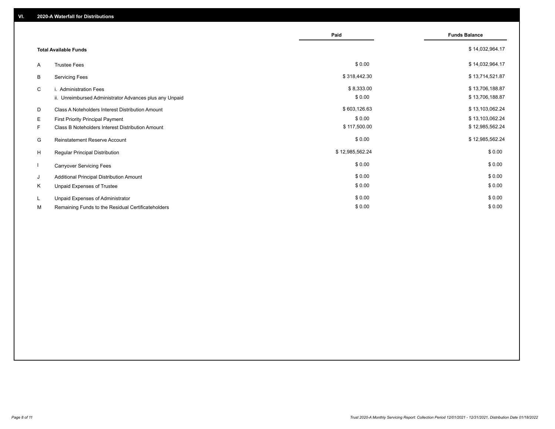|    |                                                         | Paid            | <b>Funds Balance</b> |
|----|---------------------------------------------------------|-----------------|----------------------|
|    |                                                         |                 |                      |
|    | <b>Total Available Funds</b>                            |                 | \$14,032,964.17      |
| A  | <b>Trustee Fees</b>                                     | \$0.00          | \$14,032,964.17      |
| B  | <b>Servicing Fees</b>                                   | \$318,442.30    | \$13,714,521.87      |
| C  | i. Administration Fees                                  | \$8,333.00      | \$13,706,188.87      |
|    | ii. Unreimbursed Administrator Advances plus any Unpaid | \$0.00          | \$13,706,188.87      |
| D  | Class A Noteholders Interest Distribution Amount        | \$603,126.63    | \$13,103,062.24      |
| E. | First Priority Principal Payment                        | \$0.00          | \$13,103,062.24      |
| F. | Class B Noteholders Interest Distribution Amount        | \$117,500.00    | \$12,985,562.24      |
| G  | <b>Reinstatement Reserve Account</b>                    | \$0.00          | \$12,985,562.24      |
| H  | Regular Principal Distribution                          | \$12,985,562.24 | \$0.00               |
|    | <b>Carryover Servicing Fees</b>                         | \$0.00          | \$0.00               |
| J  | Additional Principal Distribution Amount                | \$0.00          | \$0.00               |
| K  | Unpaid Expenses of Trustee                              | \$0.00          | \$0.00               |
| L. | Unpaid Expenses of Administrator                        | \$0.00          | \$0.00               |
| М  | Remaining Funds to the Residual Certificateholders      | \$0.00          | \$0.00               |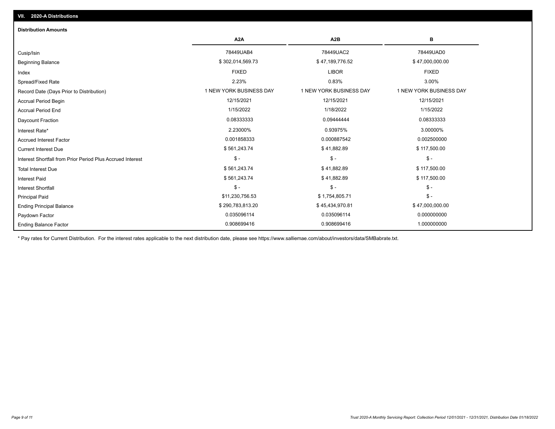| <b>Distribution Amounts</b>                                |                         |                         |                         |
|------------------------------------------------------------|-------------------------|-------------------------|-------------------------|
|                                                            | A <sub>2</sub> A        | A <sub>2</sub> B        | в                       |
| Cusip/Isin                                                 | 78449UAB4               | 78449UAC2               | 78449UAD0               |
| <b>Beginning Balance</b>                                   | \$302,014,569.73        | \$47,189,776.52         | \$47,000,000.00         |
| Index                                                      | <b>FIXED</b>            | <b>LIBOR</b>            | <b>FIXED</b>            |
| Spread/Fixed Rate                                          | 2.23%                   | 0.83%                   | 3.00%                   |
| Record Date (Days Prior to Distribution)                   | 1 NEW YORK BUSINESS DAY | 1 NEW YORK BUSINESS DAY | 1 NEW YORK BUSINESS DAY |
| Accrual Period Begin                                       | 12/15/2021              | 12/15/2021              | 12/15/2021              |
| <b>Accrual Period End</b>                                  | 1/15/2022               | 1/18/2022               | 1/15/2022               |
| Daycount Fraction                                          | 0.08333333              | 0.09444444              | 0.08333333              |
| Interest Rate*                                             | 2.23000%                | 0.93975%                | 3.00000%                |
| <b>Accrued Interest Factor</b>                             | 0.001858333             | 0.000887542             | 0.002500000             |
| <b>Current Interest Due</b>                                | \$561,243.74            | \$41,882.89             | \$117,500.00            |
| Interest Shortfall from Prior Period Plus Accrued Interest | $\mathsf{\$}$ -         | $\mathsf{\$}$ -         | $$ -$                   |
| <b>Total Interest Due</b>                                  | \$561,243.74            | \$41,882.89             | \$117,500.00            |
| <b>Interest Paid</b>                                       | \$561,243.74            | \$41,882.89             | \$117,500.00            |
| <b>Interest Shortfall</b>                                  | $\mathsf{\$}$ -         | $\mathsf{\$}$ -         | $$ -$                   |
| <b>Principal Paid</b>                                      | \$11,230,756.53         | \$1,754,805.71          | $$ -$                   |
| <b>Ending Principal Balance</b>                            | \$290,783,813.20        | \$45,434,970.81         | \$47,000,000.00         |
| Paydown Factor                                             | 0.035096114             | 0.035096114             | 0.000000000             |
| <b>Ending Balance Factor</b>                               | 0.908699416             | 0.908699416             | 1.000000000             |

\* Pay rates for Current Distribution. For the interest rates applicable to the next distribution date, please see https://www.salliemae.com/about/investors/data/SMBabrate.txt.

**VII. 2020-A Distributions**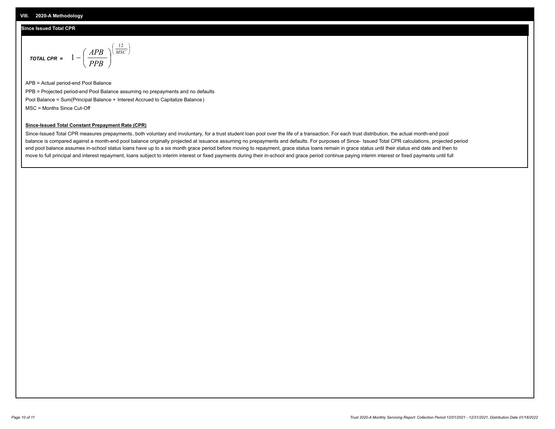#### **Since Issued Total CPR**

$$
\text{total CPR} = 1 - \left(\frac{APB}{PPB}\right)^{\left(\frac{12}{MSC}\right)}
$$

APB = Actual period-end Pool Balance PPB = Projected period-end Pool Balance assuming no prepayments and no defaults Pool Balance = Sum(Principal Balance + Interest Accrued to Capitalize Balance) MSC = Months Since Cut-Off

I J Ι

#### **Since-Issued Total Constant Prepayment Rate (CPR)**

Since-Issued Total CPR measures prepayments, both voluntary and involuntary, for a trust student loan pool over the life of a transaction. For each trust distribution, the actual month-end pool balance is compared against a month-end pool balance originally projected at issuance assuming no prepayments and defaults. For purposes of Since- Issued Total CPR calculations, projected period end pool balance assumes in-school status loans have up to a six month grace period before moving to repayment, grace status loans remain in grace status until their status end date and then to move to full principal and interest repayment, loans subject to interim interest or fixed payments during their in-school and grace period continue paying interim interest or fixed payments until full